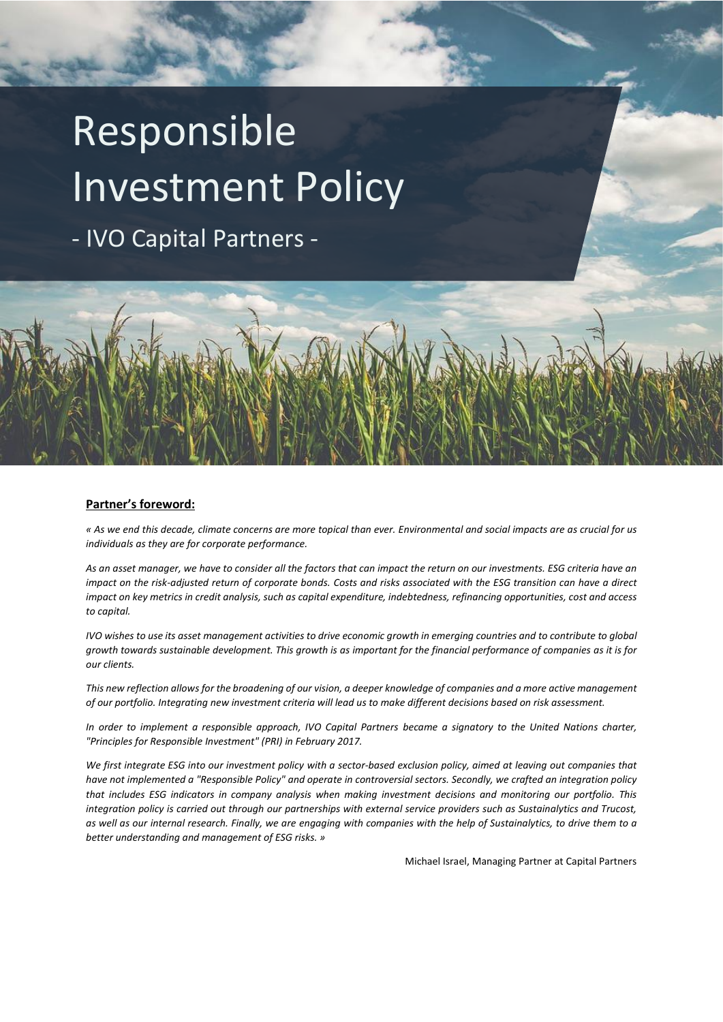# Responsible Investment Policy

- IVO Capital Partners -



#### **Partner's foreword:**

*« As we end this decade, climate concerns are more topical than ever. Environmental and social impacts are as crucial for us individuals as they are for corporate performance.*

*As an asset manager, we have to consider all the factors that can impact the return on our investments. ESG criteria have an impact on the risk-adjusted return of corporate bonds. Costs and risks associated with the ESG transition can have a direct impact on key metrics in credit analysis, such as capital expenditure, indebtedness, refinancing opportunities, cost and access to capital.* 

*IVO wishes to use its asset management activities to drive economic growth in emerging countries and to contribute to global growth towards sustainable development. This growth is as important for the financial performance of companies as it is for our clients.* 

*This new reflection allows for the broadening of our vision, a deeper knowledge of companies and a more active management of our portfolio. Integrating new investment criteria will lead us to make different decisions based on risk assessment.* 

*In order to implement a responsible approach, IVO Capital Partners became a signatory to the United Nations charter, "Principles for Responsible Investment" (PRI) in February 2017.* 

*We first integrate ESG into our investment policy with a sector-based exclusion policy, aimed at leaving out companies that have not implemented a "Responsible Policy" and operate in controversial sectors. Secondly, we crafted an integration policy that includes ESG indicators in company analysis when making investment decisions and monitoring our portfolio. This integration policy is carried out through our partnerships with external service providers such as Sustainalytics and Trucost, as well as our internal research. Finally, we are engaging with companies with the help of Sustainalytics, to drive them to a better understanding and management of ESG risks. »*

Michael Israel, Managing Partner at Capital Partners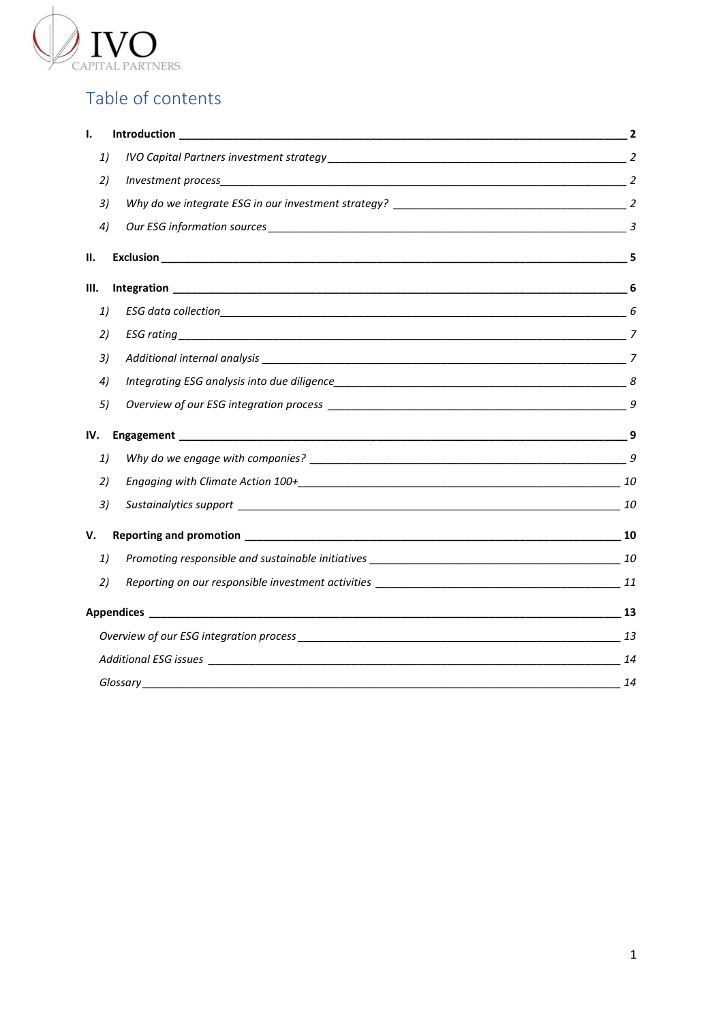

# Table of contents

| Ι.  |                        |  |
|-----|------------------------|--|
| 1)  |                        |  |
| 2)  | $Investment process$ 2 |  |
| 3)  |                        |  |
| 4)  |                        |  |
| н.  |                        |  |
| Ш.  |                        |  |
| 1)  |                        |  |
| 2)  |                        |  |
| 3)  |                        |  |
| 4)  |                        |  |
| 5)  |                        |  |
| IV. |                        |  |
| 1)  |                        |  |
| 2)  |                        |  |
| 3)  |                        |  |
| V.  |                        |  |
| 1)  |                        |  |
| 2)  |                        |  |
|     |                        |  |
|     |                        |  |
|     |                        |  |
|     | $\sim$ 14              |  |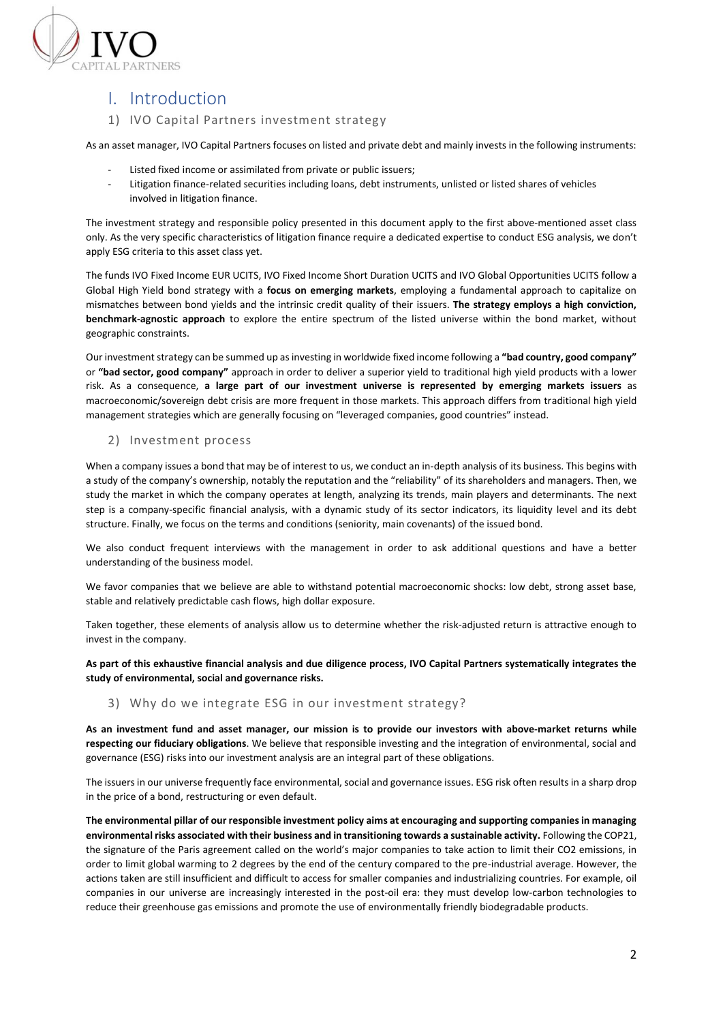

# <span id="page-2-0"></span>I. Introduction

# <span id="page-2-1"></span>1) IVO Capital Partners investment strategy

As an asset manager, IVO Capital Partners focuses on listed and private debt and mainly invests in the following instruments:

- Listed fixed income or assimilated from private or public issuers;
- Litigation finance-related securities including loans, debt instruments, unlisted or listed shares of vehicles involved in litigation finance.

The investment strategy and responsible policy presented in this document apply to the first above-mentioned asset class only. As the very specific characteristics of litigation finance require a dedicated expertise to conduct ESG analysis, we don't apply ESG criteria to this asset class yet.

The funds IVO Fixed Income EUR UCITS, IVO Fixed Income Short Duration UCITS and IVO Global Opportunities UCITS follow a Global High Yield bond strategy with a **focus on emerging markets**, employing a fundamental approach to capitalize on mismatches between bond yields and the intrinsic credit quality of their issuers. **The strategy employs a high conviction, benchmark-agnostic approach** to explore the entire spectrum of the listed universe within the bond market, without geographic constraints.

Our investment strategy can be summed up as investing in worldwide fixed income following a **"bad country, good company"** or **"bad sector, good company"** approach in order to deliver a superior yield to traditional high yield products with a lower risk. As a consequence, **a large part of our investment universe is represented by emerging markets issuers** as macroeconomic/sovereign debt crisis are more frequent in those markets. This approach differs from traditional high yield management strategies which are generally focusing on "leveraged companies, good countries" instead.

# <span id="page-2-2"></span>2) Investment process

When a company issues a bond that may be of interest to us, we conduct an in-depth analysis of its business. This begins with a study of the company's ownership, notably the reputation and the "reliability" of its shareholders and managers. Then, we study the market in which the company operates at length, analyzing its trends, main players and determinants. The next step is a company-specific financial analysis, with a dynamic study of its sector indicators, its liquidity level and its debt structure. Finally, we focus on the terms and conditions (seniority, main covenants) of the issued bond.

We also conduct frequent interviews with the management in order to ask additional questions and have a better understanding of the business model.

We favor companies that we believe are able to withstand potential macroeconomic shocks: low debt, strong asset base, stable and relatively predictable cash flows, high dollar exposure.

Taken together, these elements of analysis allow us to determine whether the risk-adjusted return is attractive enough to invest in the company.

**As part of this exhaustive financial analysis and due diligence process, IVO Capital Partners systematically integrates the study of environmental, social and governance risks.** 

#### <span id="page-2-3"></span>3) Why do we integrate ESG in our investment strategy?

**As an investment fund and asset manager, our mission is to provide our investors with above-market returns while respecting our fiduciary obligations**. We believe that responsible investing and the integration of environmental, social and governance (ESG) risks into our investment analysis are an integral part of these obligations.

The issuers in our universe frequently face environmental, social and governance issues. ESG risk often results in a sharp drop in the price of a bond, restructuring or even default.

**The environmental pillar of our responsible investment policy aims at encouraging and supporting companies in managing environmental risks associated with their business and in transitioning towards a sustainable activity.** Following the COP21, the signature of the Paris agreement called on the world's major companies to take action to limit their CO2 emissions, in order to limit global warming to 2 degrees by the end of the century compared to the pre-industrial average. However, the actions taken are still insufficient and difficult to access for smaller companies and industrializing countries. For example, oil companies in our universe are increasingly interested in the post-oil era: they must develop low-carbon technologies to reduce their greenhouse gas emissions and promote the use of environmentally friendly biodegradable products.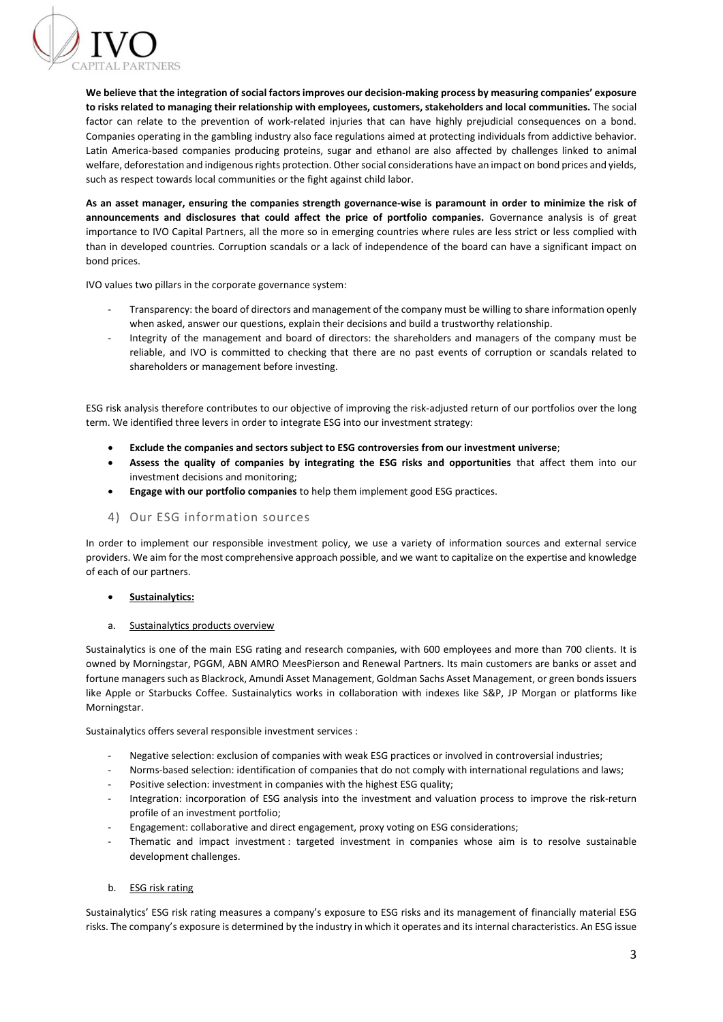

**We believe that the integration of social factors improves our decision-making process by measuring companies' exposure to risks related to managing their relationship with employees, customers, stakeholders and local communities.** The social factor can relate to the prevention of work-related injuries that can have highly prejudicial consequences on a bond. Companies operating in the gambling industry also face regulations aimed at protecting individuals from addictive behavior. Latin America-based companies producing proteins, sugar and ethanol are also affected by challenges linked to animal welfare, deforestation and indigenous rights protection. Other social considerations have an impact on bond prices and yields, such as respect towards local communities or the fight against child labor.

**As an asset manager, ensuring the companies strength governance-wise is paramount in order to minimize the risk of announcements and disclosures that could affect the price of portfolio companies.** Governance analysis is of great importance to IVO Capital Partners, all the more so in emerging countries where rules are less strict or less complied with than in developed countries. Corruption scandals or a lack of independence of the board can have a significant impact on bond prices.

IVO values two pillars in the corporate governance system:

- Transparency: the board of directors and management of the company must be willing to share information openly when asked, answer our questions, explain their decisions and build a trustworthy relationship.
- Integrity of the management and board of directors: the shareholders and managers of the company must be reliable, and IVO is committed to checking that there are no past events of corruption or scandals related to shareholders or management before investing.

ESG risk analysis therefore contributes to our objective of improving the risk-adjusted return of our portfolios over the long term. We identified three levers in order to integrate ESG into our investment strategy:

- **Exclude the companies and sectors subject to ESG controversies from our investment universe**;
- **Assess the quality of companies by integrating the ESG risks and opportunities** that affect them into our investment decisions and monitoring;
- **Engage with our portfolio companies** to help them implement good ESG practices.
- <span id="page-3-0"></span>4) Our ESG information sources

In order to implement our responsible investment policy, we use a variety of information sources and external service providers. We aim for the most comprehensive approach possible, and we want to capitalize on the expertise and knowledge of each of our partners.

- **Sustainalytics:**
- a. Sustainalytics products overview

Sustainalytics is one of the main ESG rating and research companies, with 600 employees and more than 700 clients. It is owned by Morningstar, PGGM, ABN AMRO MeesPierson and Renewal Partners. Its main customers are banks or asset and fortune managers such as Blackrock, Amundi Asset Management, Goldman Sachs Asset Management, or green bonds issuers like Apple or Starbucks Coffee. Sustainalytics works in collaboration with indexes like S&P, JP Morgan or platforms like Morningstar.

Sustainalytics offers several responsible investment services :

- Negative selection: exclusion of companies with weak ESG practices or involved in controversial industries;
- Norms-based selection: identification of companies that do not comply with international regulations and laws;
- Positive selection: investment in companies with the highest ESG quality;
- Integration: incorporation of ESG analysis into the investment and valuation process to improve the risk-return profile of an investment portfolio;
- Engagement: collaborative and direct engagement, proxy voting on ESG considerations;
- Thematic and impact investment : targeted investment in companies whose aim is to resolve sustainable development challenges.
- b. ESG risk rating

Sustainalytics' ESG risk rating measures a company's exposure to ESG risks and its management of financially material ESG risks. The company's exposure is determined by the industry in which it operates and its internal characteristics. An ESG issue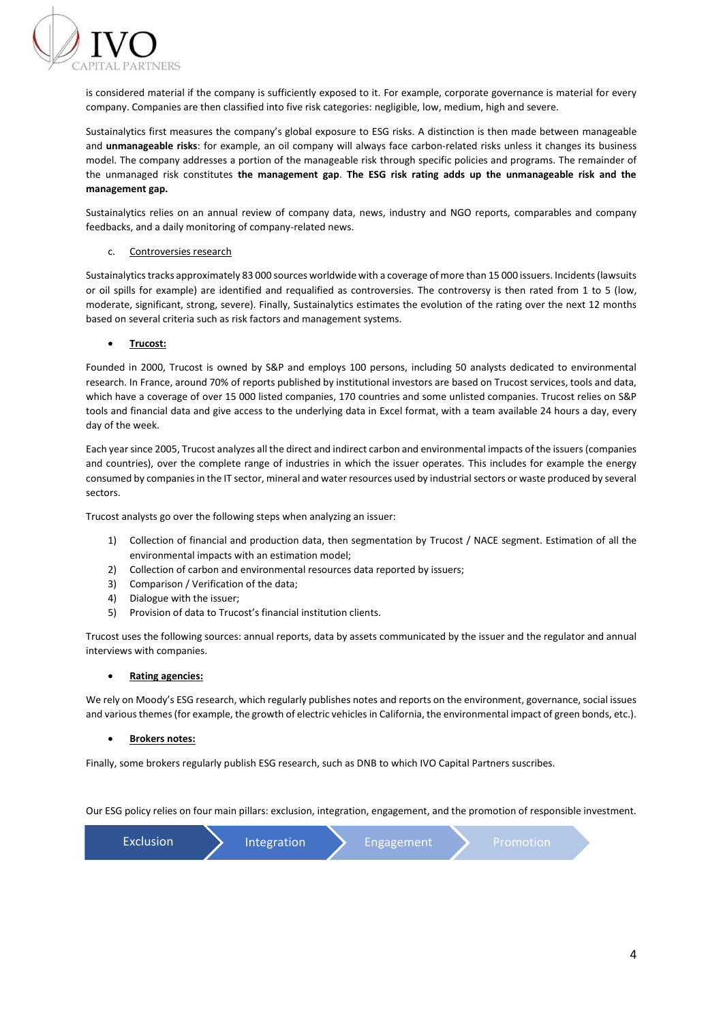

is considered material if the company is sufficiently exposed to it. For example, corporate governance is material for every company. Companies are then classified into five risk categories: negligible, low, medium, high and severe.

Sustainalytics first measures the company's global exposure to ESG risks. A distinction is then made between manageable and **unmanageable risks**: for example, an oil company will always face carbon-related risks unless it changes its business model. The company addresses a portion of the manageable risk through specific policies and programs. The remainder of the unmanaged risk constitutes **the management gap**. **The ESG risk rating adds up the unmanageable risk and the management gap.**

Sustainalytics relies on an annual review of company data, news, industry and NGO reports, comparables and company feedbacks, and a daily monitoring of company-related news.

#### c. Controversies research

Sustainalytics tracks approximately 83 000 sources worldwide with a coverage of more than 15 000 issuers. Incidents (lawsuits or oil spills for example) are identified and requalified as controversies. The controversy is then rated from 1 to 5 (low, moderate, significant, strong, severe). Finally, Sustainalytics estimates the evolution of the rating over the next 12 months based on several criteria such as risk factors and management systems.

#### • **Trucost:**

Founded in 2000, Trucost is owned by S&P and employs 100 persons, including 50 analysts dedicated to environmental research. In France, around 70% of reports published by institutional investors are based on Trucost services, tools and data, which have a coverage of over 15 000 listed companies, 170 countries and some unlisted companies. Trucost relies on S&P tools and financial data and give access to the underlying data in Excel format, with a team available 24 hours a day, every day of the week.

Each year since 2005, Trucost analyzes all the direct and indirect carbon and environmental impacts of the issuers (companies and countries), over the complete range of industries in which the issuer operates. This includes for example the energy consumed by companies in the IT sector, mineral and water resources used by industrial sectors or waste produced by several sectors.

Trucost analysts go over the following steps when analyzing an issuer:

- 1) Collection of financial and production data, then segmentation by Trucost / NACE segment. Estimation of all the environmental impacts with an estimation model;
- 2) Collection of carbon and environmental resources data reported by issuers;
- 3) Comparison / Verification of the data;
- 4) Dialogue with the issuer;
- 5) Provision of data to Trucost's financial institution clients.

Trucost uses the following sources: annual reports, data by assets communicated by the issuer and the regulator and annual interviews with companies.

#### • **Rating agencies:**

We rely on Moody's ESG research, which regularly publishes notes and reports on the environment, governance, social issues and various themes(for example, the growth of electric vehicles in California, the environmental impact of green bonds, etc.).

#### • **Brokers notes:**

Finally, some brokers regularly publish ESG research, such as DNB to which IVO Capital Partners suscribes.

Our ESG policy relies on four main pillars: exclusion, integration, engagement, and the promotion of responsible investment.

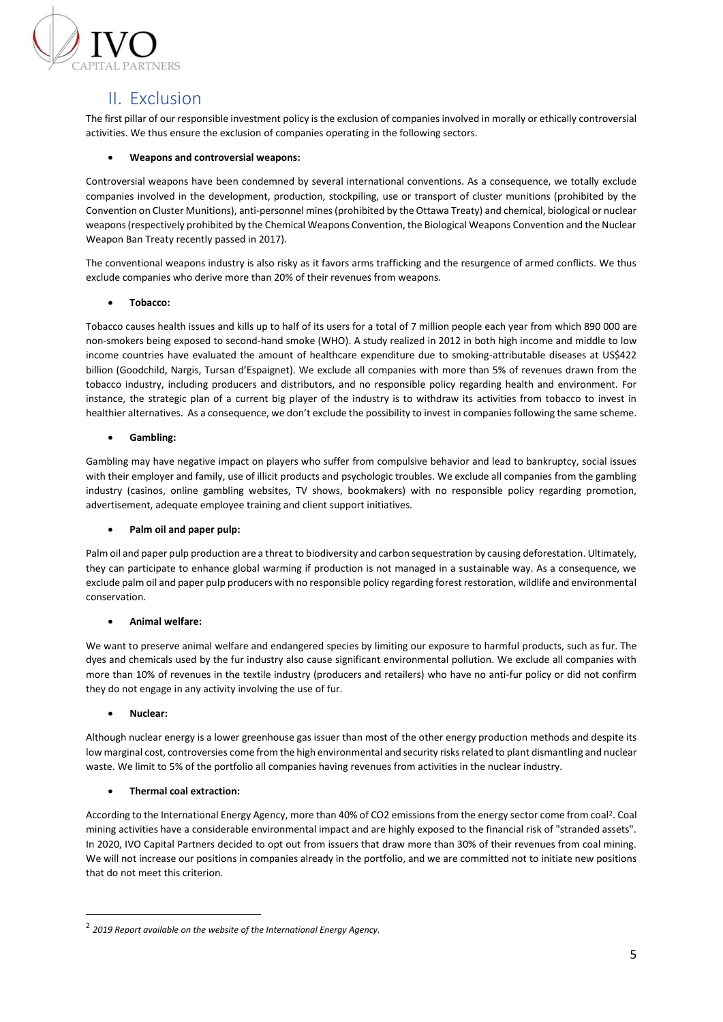

# <span id="page-5-0"></span>II. Exclusion

The first pillar of our responsible investment policy is the exclusion of companies involved in morally or ethically controversial activities. We thus ensure the exclusion of companies operating in the following sectors.

# • **Weapons and controversial weapons:**

Controversial weapons have been condemned by several international conventions. As a consequence, we totally exclude companies involved in the development, production, stockpiling, use or transport of cluster munitions (prohibited by the Convention on Cluster Munitions), anti-personnel mines (prohibited by the Ottawa Treaty) and chemical, biological or nuclear weapons (respectively prohibited by the Chemical Weapons Convention, the Biological Weapons Convention and the Nuclear Weapon Ban Treaty recently passed in 2017).

The conventional weapons industry is also risky as it favors arms trafficking and the resurgence of armed conflicts. We thus exclude companies who derive more than 20% of their revenues from weapons.

#### • **Tobacco:**

Tobacco causes health issues and kills up to half of its users for a total of 7 million people each year from which 890 000 are non-smokers being exposed to second-hand smoke (WHO). A study realized in 2012 in both high income and middle to low income countries have evaluated the amount of healthcare expenditure due to smoking-attributable diseases at US\$422 billion (Goodchild, Nargis, Tursan d'Espaignet). We exclude all companies with more than 5% of revenues drawn from the tobacco industry, including producers and distributors, and no responsible policy regarding health and environment. For instance, the strategic plan of a current big player of the industry is to withdraw its activities from tobacco to invest in healthier alternatives. As a consequence, we don't exclude the possibility to invest in companies following the same scheme.

#### • **Gambling:**

Gambling may have negative impact on players who suffer from compulsive behavior and lead to bankruptcy, social issues with their employer and family, use of illicit products and psychologic troubles. We exclude all companies from the gambling industry (casinos, online gambling websites, TV shows, bookmakers) with no responsible policy regarding promotion, advertisement, adequate employee training and client support initiatives.

#### • **Palm oil and paper pulp:**

Palm oil and paper pulp production are a threat to biodiversity and carbon sequestration by causing deforestation. Ultimately, they can participate to enhance global warming if production is not managed in a sustainable way. As a consequence, we exclude palm oil and paper pulp producers with no responsible policy regarding forest restoration, wildlife and environmental conservation.

# • **Animal welfare:**

We want to preserve animal welfare and endangered species by limiting our exposure to harmful products, such as fur. The dyes and chemicals used by the fur industry also cause significant environmental pollution. We exclude all companies with more than 10% of revenues in the textile industry (producers and retailers) who have no anti-fur policy or did not confirm they do not engage in any activity involving the use of fur.

#### • **Nuclear:**

Although nuclear energy is a lower greenhouse gas issuer than most of the other energy production methods and despite its low marginal cost, controversies come from the high environmental and security risks related to plant dismantling and nuclear waste. We limit to 5% of the portfolio all companies having revenues from activities in the nuclear industry.

# • **Thermal coal extraction:**

According to the International Energy Agency, more than 40% of CO2 emissions from the energy sector come from coal<sup>2</sup>. Coal mining activities have a considerable environmental impact and are highly exposed to the financial risk of "stranded assets". In 2020, IVO Capital Partners decided to opt out from issuers that draw more than 30% of their revenues from coal mining. We will not increase our positions in companies already in the portfolio, and we are committed not to initiate new positions that do not meet this criterion.

<sup>2</sup> *2019 Report available on the website of the International Energy Agency.*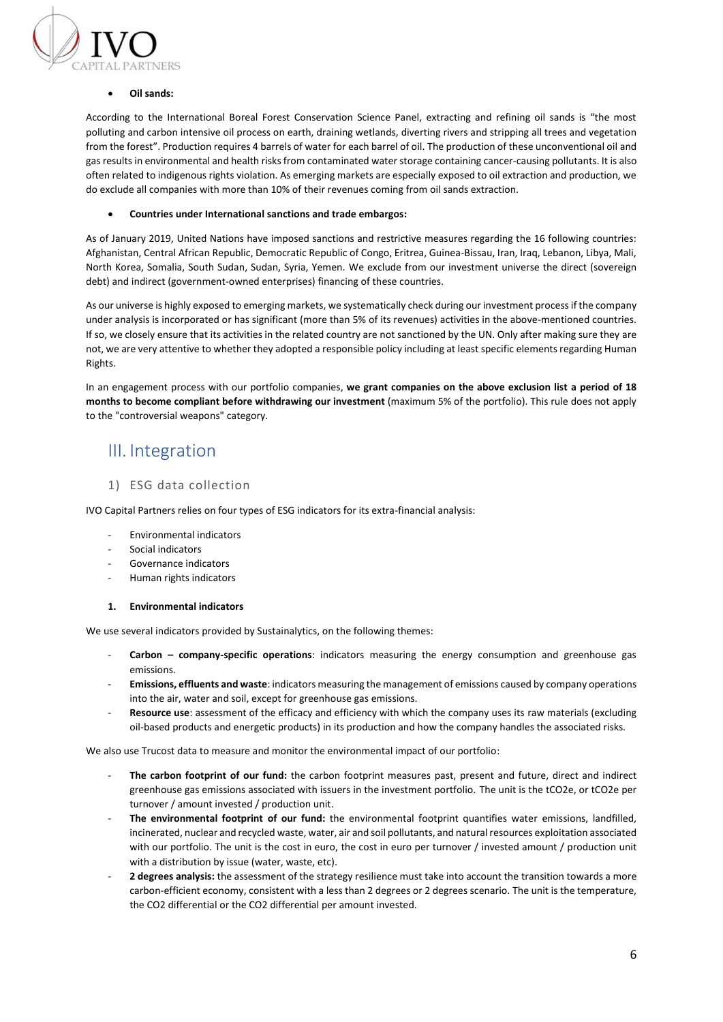

#### • **Oil sands:**

According to the International Boreal Forest Conservation Science Panel, extracting and refining oil sands is "the most polluting and carbon intensive oil process on earth, draining wetlands, diverting rivers and stripping all trees and vegetation from the forest". Production requires 4 barrels of water for each barrel of oil. The production of these unconventional oil and gas results in environmental and health risks from contaminated water storage containing cancer-causing pollutants. It is also often related to indigenous rights violation. As emerging markets are especially exposed to oil extraction and production, we do exclude all companies with more than 10% of their revenues coming from oil sands extraction.

#### • **Countries under International sanctions and trade embargos:**

As of January 2019, United Nations have imposed sanctions and restrictive measures regarding the 16 following countries: Afghanistan, Central African Republic, Democratic Republic of Congo, Eritrea, Guinea-Bissau, Iran, Iraq, Lebanon, Libya, Mali, North Korea, Somalia, South Sudan, Sudan, Syria, Yemen. We exclude from our investment universe the direct (sovereign debt) and indirect (government-owned enterprises) financing of these countries.

As our universe is highly exposed to emerging markets, we systematically check during our investment process if the company under analysis is incorporated or has significant (more than 5% of its revenues) activities in the above-mentioned countries. If so, we closely ensure that its activities in the related country are not sanctioned by the UN. Only after making sure they are not, we are very attentive to whether they adopted a responsible policy including at least specific elements regarding Human Rights.

In an engagement process with our portfolio companies, **we grant companies on the above exclusion list a period of 18 months to become compliant before withdrawing our investment** (maximum 5% of the portfolio). This rule does not apply to the "controversial weapons" category.

# <span id="page-6-0"></span>III. Integration

# <span id="page-6-1"></span>1) ESG data collection

IVO Capital Partners relies on four types of ESG indicators for its extra-financial analysis:

- Environmental indicators
- Social indicators
- Governance indicators
- Human rights indicators

#### **1. Environmental indicators**

We use several indicators provided by Sustainalytics, on the following themes:

- **Carbon – company-specific operations**: indicators measuring the energy consumption and greenhouse gas emissions.
- **Emissions, effluents and waste**: indicators measuring the management of emissions caused by company operations into the air, water and soil, except for greenhouse gas emissions.
- Resource use: assessment of the efficacy and efficiency with which the company uses its raw materials (excluding oil-based products and energetic products) in its production and how the company handles the associated risks.

We also use Trucost data to measure and monitor the environmental impact of our portfolio:

- The carbon footprint of our fund: the carbon footprint measures past, present and future, direct and indirect greenhouse gas emissions associated with issuers in the investment portfolio. The unit is the tCO2e, or tCO2e per turnover / amount invested / production unit.
- The environmental footprint of our fund: the environmental footprint quantifies water emissions, landfilled, incinerated, nuclear and recycled waste, water, air and soil pollutants, and natural resources exploitation associated with our portfolio. The unit is the cost in euro, the cost in euro per turnover / invested amount / production unit with a distribution by issue (water, waste, etc).
- 2 degrees analysis: the assessment of the strategy resilience must take into account the transition towards a more carbon-efficient economy, consistent with a less than 2 degrees or 2 degrees scenario. The unit is the temperature, the CO2 differential or the CO2 differential per amount invested.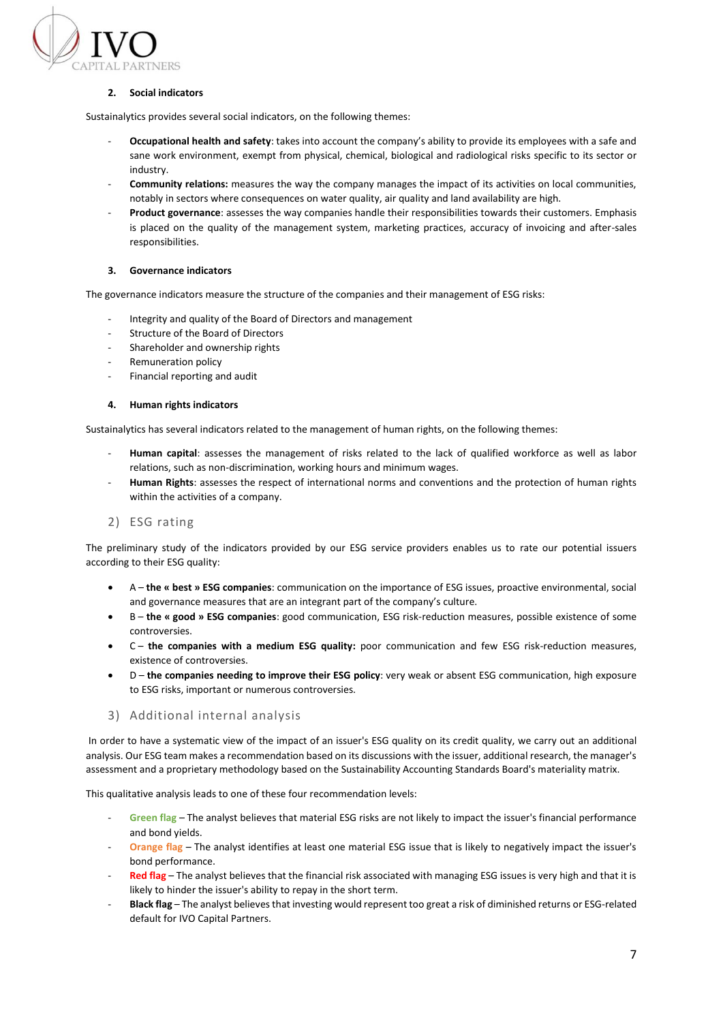

# **2. Social indicators**

Sustainalytics provides several social indicators, on the following themes:

- **Occupational health and safety**: takes into account the company's ability to provide its employees with a safe and sane work environment, exempt from physical, chemical, biological and radiological risks specific to its sector or industry.
- **Community relations:** measures the way the company manages the impact of its activities on local communities, notably in sectors where consequences on water quality, air quality and land availability are high.
- **Product governance**: assesses the way companies handle their responsibilities towards their customers. Emphasis is placed on the quality of the management system, marketing practices, accuracy of invoicing and after-sales responsibilities.

#### **3. Governance indicators**

The governance indicators measure the structure of the companies and their management of ESG risks:

- Integrity and quality of the Board of Directors and management
- Structure of the Board of Directors
- Shareholder and ownership rights
- Remuneration policy
- Financial reporting and audit

#### **4. Human rights indicators**

Sustainalytics has several indicators related to the management of human rights, on the following themes:

- **Human capital**: assesses the management of risks related to the lack of qualified workforce as well as labor relations, such as non-discrimination, working hours and minimum wages.
- Human Rights: assesses the respect of international norms and conventions and the protection of human rights within the activities of a company.
- <span id="page-7-0"></span>2) ESG rating

The preliminary study of the indicators provided by our ESG service providers enables us to rate our potential issuers according to their ESG quality:

- A **the « best » ESG companies**: communication on the importance of ESG issues, proactive environmental, social and governance measures that are an integrant part of the company's culture.
- B **the « good » ESG companies**: good communication, ESG risk-reduction measures, possible existence of some controversies.
- C **the companies with a medium ESG quality:** poor communication and few ESG risk-reduction measures, existence of controversies.
- D **the companies needing to improve their ESG policy**: very weak or absent ESG communication, high exposure to ESG risks, important or numerous controversies.
- <span id="page-7-1"></span>3) Additional internal analysis

In order to have a systematic view of the impact of an issuer's ESG quality on its credit quality, we carry out an additional analysis. Our ESG team makes a recommendation based on its discussions with the issuer, additional research, the manager's assessment and a proprietary methodology based on the Sustainability Accounting Standards Board's materiality matrix.

This qualitative analysis leads to one of these four recommendation levels:

- **Green flag** The analyst believes that material ESG risks are not likely to impact the issuer's financial performance and bond yields.
- **Orange flag** The analyst identifies at least one material ESG issue that is likely to negatively impact the issuer's bond performance.
- **Red flag** The analyst believes that the financial risk associated with managing ESG issues is very high and that it is likely to hinder the issuer's ability to repay in the short term.
- **Black flag** The analyst believes that investing would represent too great a risk of diminished returns or ESG-related default for IVO Capital Partners.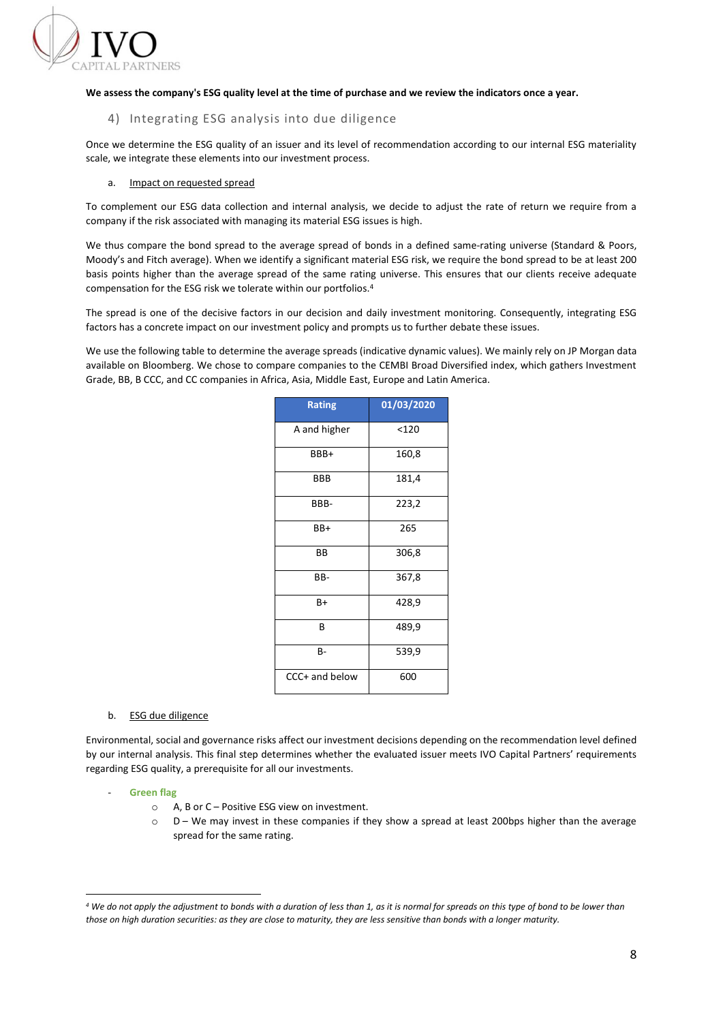

### <span id="page-8-0"></span>**We assess the company's ESG quality level at the time of purchase and we review the indicators once a year.**

# 4) Integrating ESG analysis into due diligence

Once we determine the ESG quality of an issuer and its level of recommendation according to our internal ESG materiality scale, we integrate these elements into our investment process.

#### a. Impact on requested spread

To complement our ESG data collection and internal analysis, we decide to adjust the rate of return we require from a company if the risk associated with managing its material ESG issues is high.

We thus compare the bond spread to the average spread of bonds in a defined same-rating universe (Standard & Poors, Moody's and Fitch average). When we identify a significant material ESG risk, we require the bond spread to be at least 200 basis points higher than the average spread of the same rating universe. This ensures that our clients receive adequate compensation for the ESG risk we tolerate within our portfolios.<sup>4</sup>

The spread is one of the decisive factors in our decision and daily investment monitoring. Consequently, integrating ESG factors has a concrete impact on our investment policy and prompts us to further debate these issues.

We use the following table to determine the average spreads (indicative dynamic values). We mainly rely on JP Morgan data available on Bloomberg. We chose to compare companies to the CEMBI Broad Diversified index, which gathers Investment Grade, BB, B CCC, and CC companies in Africa, Asia, Middle East, Europe and Latin America.

| <b>Rating</b>  | 01/03/2020 |
|----------------|------------|
| A and higher   | < 120      |
| BBB+           | 160,8      |
| BBB            | 181,4      |
| BBB-           | 223,2      |
| BB+            | 265        |
| ВB             | 306,8      |
| BB-            | 367,8      |
| B+             | 428,9      |
| В              | 489,9      |
| B-             | 539,9      |
| CCC+ and below | 600        |

#### b. ESG due diligence

Environmental, social and governance risks affect our investment decisions depending on the recommendation level defined by our internal analysis. This final step determines whether the evaluated issuer meets IVO Capital Partners' requirements regarding ESG quality, a prerequisite for all our investments.

- **Green flag**
	- o A, B or C Positive ESG view on investment.
	- o D We may invest in these companies if they show a spread at least 200bps higher than the average spread for the same rating.

*<sup>4</sup> We do not apply the adjustment to bonds with a duration of less than 1, as it is normal for spreads on this type of bond to be lower than those on high duration securities: as they are close to maturity, they are less sensitive than bonds with a longer maturity.*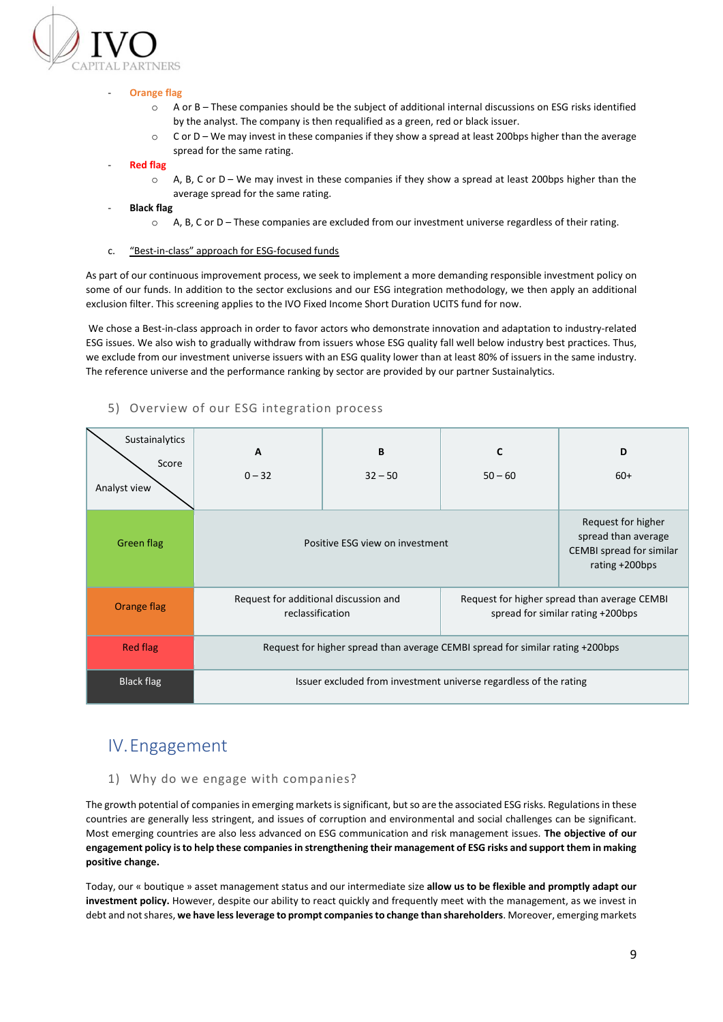

#### **Orange flag**

- o A or B These companies should be the subject of additional internal discussions on ESG risks identified by the analyst. The company is then requalified as a green, red or black issuer.
- o C or D We may invest in these companies if they show a spread at least 200bps higher than the average spread for the same rating.
- **Red flag**
	- $\circ$  A, B, C or D We may invest in these companies if they show a spread at least 200bps higher than the average spread for the same rating.
- **Black flag**
	- o A, B, C or D These companies are excluded from our investment universe regardless of their rating.
- c. "Best-in-class" approach for ESG-focused funds

As part of our continuous improvement process, we seek to implement a more demanding responsible investment policy on some of our funds. In addition to the sector exclusions and our ESG integration methodology, we then apply an additional exclusion filter. This screening applies to the IVO Fixed Income Short Duration UCITS fund for now.

We chose a Best-in-class approach in order to favor actors who demonstrate innovation and adaptation to industry-related ESG issues. We also wish to gradually withdraw from issuers whose ESG quality fall well below industry best practices. Thus, we exclude from our investment universe issuers with an ESG quality lower than at least 80% of issuers in the same industry. The reference universe and the performance ranking by sector are provided by our partner Sustainalytics.

| Sustainalytics<br>Score<br>Analyst view | A<br>$0 - 32$                                                                  | B<br>$32 - 50$                                                                             | C<br>$50 - 60$                                                                    | D<br>$60+$ |  |  |
|-----------------------------------------|--------------------------------------------------------------------------------|--------------------------------------------------------------------------------------------|-----------------------------------------------------------------------------------|------------|--|--|
| <b>Green flag</b>                       | Positive ESG view on investment                                                | Request for higher<br>spread than average<br>CEMBI spread for similar<br>rating $+200$ bps |                                                                                   |            |  |  |
| Orange flag                             | Request for additional discussion and<br>reclassification                      |                                                                                            | Request for higher spread than average CEMBI<br>spread for similar rating +200bps |            |  |  |
| <b>Red flag</b>                         | Request for higher spread than average CEMBI spread for similar rating +200bps |                                                                                            |                                                                                   |            |  |  |
| Black flag                              | Issuer excluded from investment universe regardless of the rating              |                                                                                            |                                                                                   |            |  |  |

# <span id="page-9-0"></span>5) Overview of our ESG integration process

# <span id="page-9-1"></span>IV.Engagement

# <span id="page-9-2"></span>1) Why do we engage with companies?

The growth potential of companies in emerging marketsis significant, but so are the associated ESG risks. Regulations in these countries are generally less stringent, and issues of corruption and environmental and social challenges can be significant. Most emerging countries are also less advanced on ESG communication and risk management issues. **The objective of our engagement policy is to help these companies in strengthening their management of ESG risks and support them in making positive change.**

Today, our « boutique » asset management status and our intermediate size **allow us to be flexible and promptly adapt our investment policy.** However, despite our ability to react quickly and frequently meet with the management, as we invest in debt and not shares, **we have less leverage to prompt companies to change than shareholders**. Moreover, emerging markets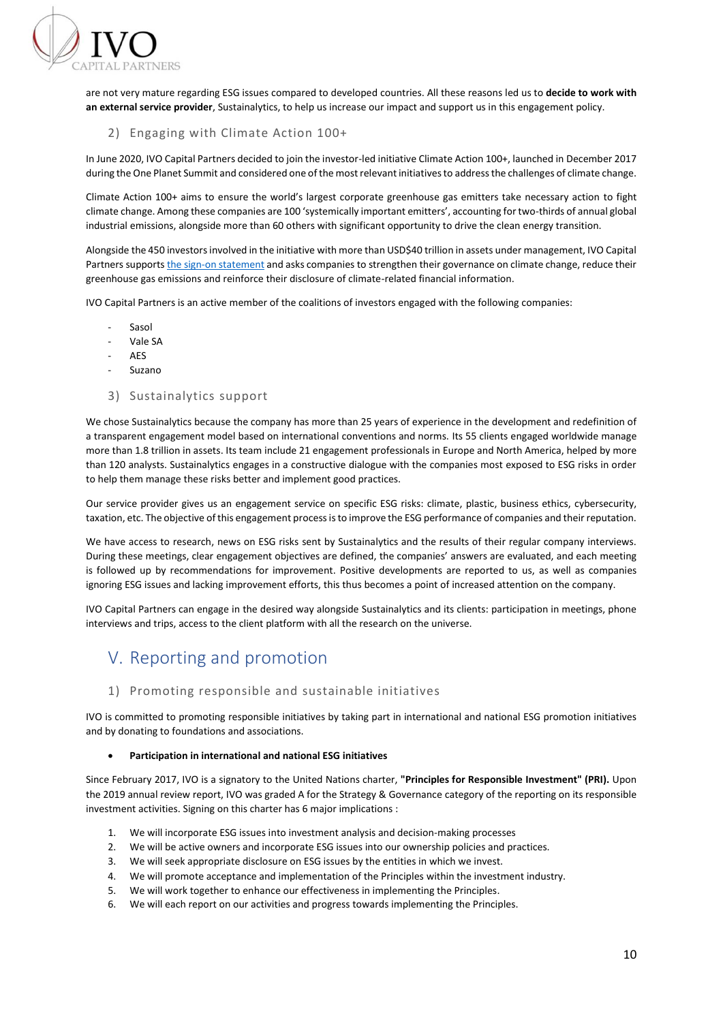

are not very mature regarding ESG issues compared to developed countries. All these reasons led us to **decide to work with an external service provider**, Sustainalytics, to help us increase our impact and support us in this engagement policy.

# <span id="page-10-0"></span>2) Engaging with Climate Action 100+

In June 2020, IVO Capital Partners decided to join the investor-led initiative Climate Action 100+, launched in December 2017 during the One Planet Summit and considered one of the most relevant initiatives to address the challenges of climate change.

Climate Action 100+ aims to ensure the world's largest corporate greenhouse gas emitters take necessary action to fight climate change. Among these companies are 100 'systemically important emitters', accounting for two-thirds of annual global industrial emissions, alongside more than 60 others with significant opportunity to drive the clean energy transition.

Alongside the 450 investors involved in the initiative with more than USD\$40 trillion in assets under management, IVO Capital Partners support[s the sign-on statement](https://climateaction100.wordpress.com/investors/) and asks companies to strengthen their governance on climate change, reduce their greenhouse gas emissions and reinforce their disclosure of climate-related financial information.

IVO Capital Partners is an active member of the coalitions of investors engaged with the following companies:

- Sasol
- Vale SA
- AES
- **Suzano**

#### <span id="page-10-1"></span>3) Sustainalytics support

We chose Sustainalytics because the company has more than 25 years of experience in the development and redefinition of a transparent engagement model based on international conventions and norms. Its 55 clients engaged worldwide manage more than 1.8 trillion in assets. Its team include 21 engagement professionals in Europe and North America, helped by more than 120 analysts. Sustainalytics engages in a constructive dialogue with the companies most exposed to ESG risks in order to help them manage these risks better and implement good practices.

Our service provider gives us an engagement service on specific ESG risks: climate, plastic, business ethics, cybersecurity, taxation, etc. The objective of this engagement process is to improve the ESG performance of companies and their reputation.

We have access to research, news on ESG risks sent by Sustainalytics and the results of their regular company interviews. During these meetings, clear engagement objectives are defined, the companies' answers are evaluated, and each meeting is followed up by recommendations for improvement. Positive developments are reported to us, as well as companies ignoring ESG issues and lacking improvement efforts, this thus becomes a point of increased attention on the company.

IVO Capital Partners can engage in the desired way alongside Sustainalytics and its clients: participation in meetings, phone interviews and trips, access to the client platform with all the research on the universe.

# <span id="page-10-2"></span>V. Reporting and promotion

# <span id="page-10-3"></span>1) Promoting responsible and sustainable initiatives

IVO is committed to promoting responsible initiatives by taking part in international and national ESG promotion initiatives and by donating to foundations and associations.

#### • **Participation in international and national ESG initiatives**

Since February 2017, IVO is a signatory to the United Nations charter, **"Principles for Responsible Investment" (PRI).** Upon the 2019 annual review report, IVO was graded A for the Strategy & Governance category of the reporting on its responsible investment activities. Signing on this charter has 6 major implications :

- 1. We will incorporate ESG issues into investment analysis and decision-making processes
- 2. We will be active owners and incorporate ESG issues into our ownership policies and practices.
- 3. We will seek appropriate disclosure on ESG issues by the entities in which we invest.
- 4. We will promote acceptance and implementation of the Principles within the investment industry.
- 5. We will work together to enhance our effectiveness in implementing the Principles.
- 6. We will each report on our activities and progress towards implementing the Principles.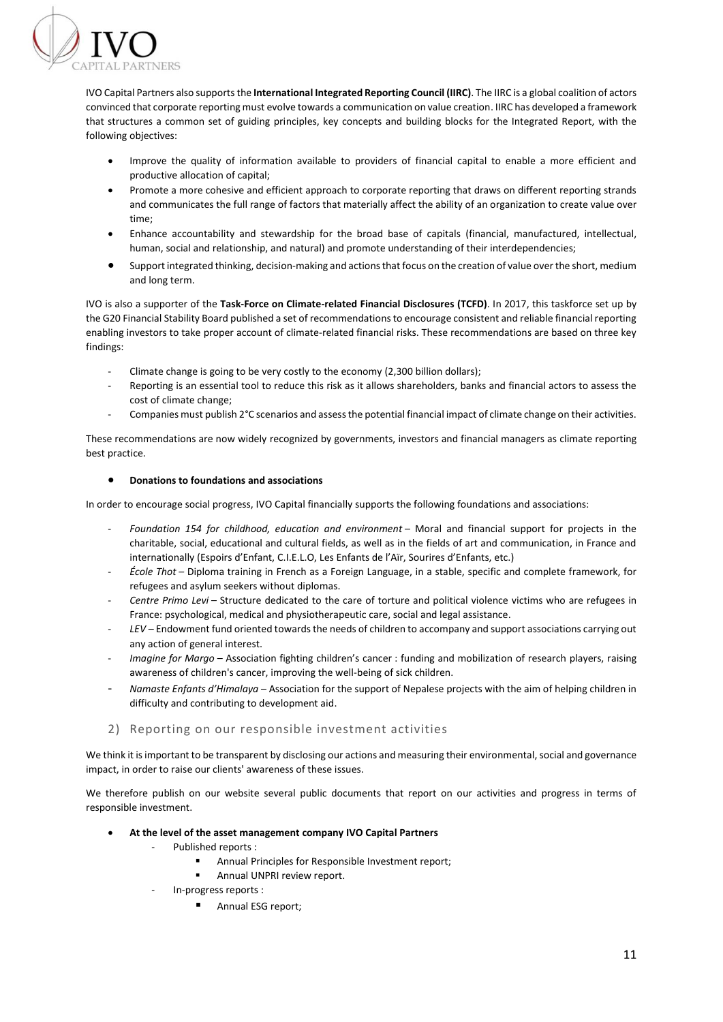

IVO Capital Partners also supports the **International Integrated Reporting Council (IIRC)**. The IIRC is a global coalition of actors convinced that corporate reporting must evolve towards a communication on value creation. IIRC has developed a framework that structures a common set of guiding principles, key concepts and building blocks for the Integrated Report, with the following objectives:

- Improve the quality of information available to providers of financial capital to enable a more efficient and productive allocation of capital;
- Promote a more cohesive and efficient approach to corporate reporting that draws on different reporting strands and communicates the full range of factors that materially affect the ability of an organization to create value over time;
- Enhance accountability and stewardship for the broad base of capitals (financial, manufactured, intellectual, human, social and relationship, and natural) and promote understanding of their interdependencies;
- Support integrated thinking, decision-making and actions that focus on the creation of value over the short, medium and long term.

IVO is also a supporter of the **Task-Force on Climate-related Financial Disclosures (TCFD)**. In 2017, this taskforce set up by the G20 Financial Stability Board published a set of recommendations to encourage consistent and reliable financial reporting enabling investors to take proper account of climate-related financial risks. These recommendations are based on three key findings:

- Climate change is going to be very costly to the economy (2,300 billion dollars);
- Reporting is an essential tool to reduce this risk as it allows shareholders, banks and financial actors to assess the cost of climate change;
- Companies must publish 2°C scenarios and assess the potential financial impact of climate change on their activities.

These recommendations are now widely recognized by governments, investors and financial managers as climate reporting best practice.

#### • **Donations to foundations and associations**

In order to encourage social progress, IVO Capital financially supports the following foundations and associations:

- *Foundation 154 for childhood, education and environment* Moral and financial support for projects in the charitable, social, educational and cultural fields, as well as in the fields of art and communication, in France and internationally (Espoirs d'Enfant, C.I.E.L.O, Les Enfants de l'Aïr, Sourires d'Enfants, etc.)
- *École Thot* Diploma training in French as a Foreign Language, in a stable, specific and complete framework, for refugees and asylum seekers without diplomas.
- *Centre Primo Levi* Structure dedicated to the care of torture and political violence victims who are refugees in France: psychological, medical and physiotherapeutic care, social and legal assistance.
- *LEV* Endowment fund oriented towards the needs of children to accompany and support associations carrying out any action of general interest.
- *Imagine for Margo* Association fighting children's cancer : funding and mobilization of research players, raising awareness of children's cancer, improving the well-being of sick children.
- *Namaste Enfants d'Himalaya* Association for the support of Nepalese projects with the aim of helping children in difficulty and contributing to development aid.

# <span id="page-11-0"></span>2) Reporting on our responsible investment activities

We think it is important to be transparent by disclosing our actions and measuring their environmental, social and governance impact, in order to raise our clients' awareness of these issues.

We therefore publish on our website several public documents that report on our activities and progress in terms of responsible investment.

- **At the level of the asset management company IVO Capital Partners** 
	- Published reports :
		- Annual Principles for Responsible Investment report;
		- Annual UNPRI review report.
	- In-progress reports :
		- Annual ESG report;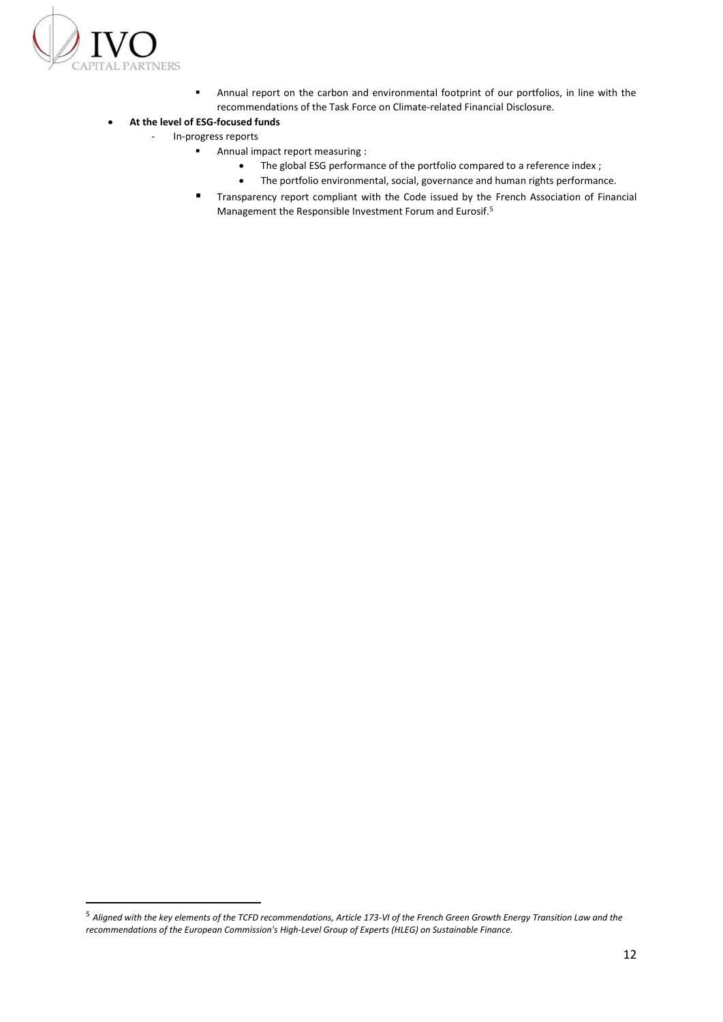

■ Annual report on the carbon and environmental footprint of our portfolios, in line with the recommendations of the Task Force on Climate-related Financial Disclosure.

# • **At the level of ESG-focused funds**

- In-progress reports
	- Annual impact report measuring :
		- The global ESG performance of the portfolio compared to a reference index ;
		- The portfolio environmental, social, governance and human rights performance.
	- Transparency report compliant with the Code issued by the French Association of Financial Management the Responsible Investment Forum and Eurosif.<sup>5</sup>

<sup>5</sup> *Aligned with the key elements of the TCFD recommendations, Article 173-VI of the French Green Growth Energy Transition Law and the recommendations of the European Commission's High-Level Group of Experts (HLEG) on Sustainable Finance.*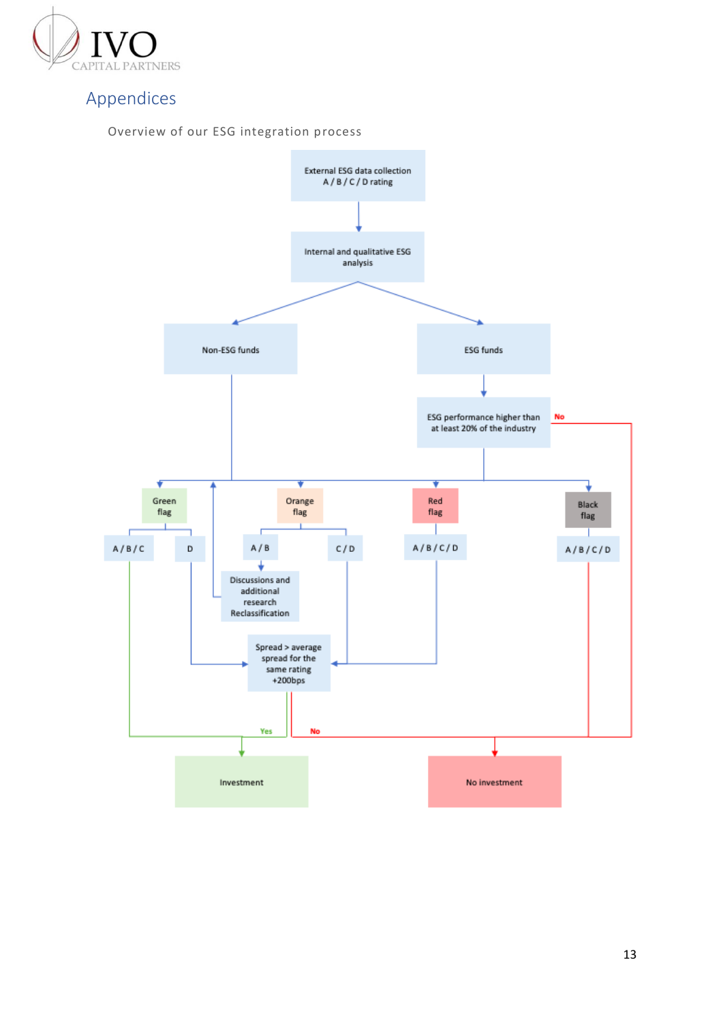

# <span id="page-13-0"></span>Appendices

<span id="page-13-1"></span>

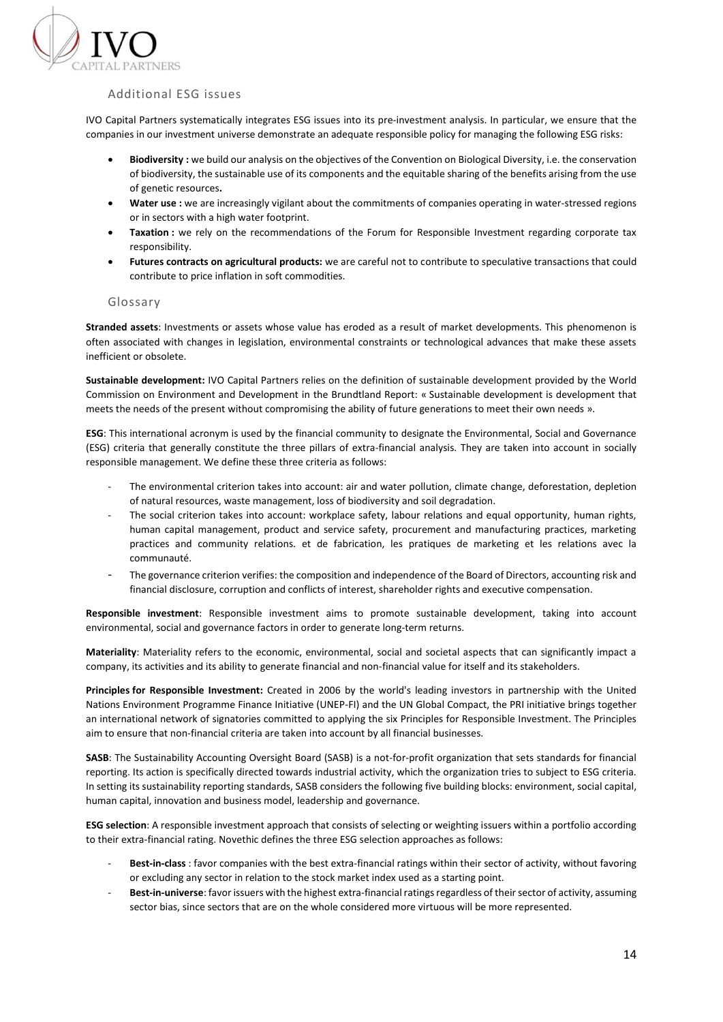

# <span id="page-14-0"></span>Additional ESG issues

IVO Capital Partners systematically integrates ESG issues into its pre-investment analysis. In particular, we ensure that the companies in our investment universe demonstrate an adequate responsible policy for managing the following ESG risks:

- **Biodiversity :** we build our analysis on the objectives of the Convention on Biological Diversity, i.e. the conservation of biodiversity, the sustainable use of its components and the equitable sharing of the benefits arising from the use of genetic resources**.**
- **Water use :** we are increasingly vigilant about the commitments of companies operating in water-stressed regions or in sectors with a high water footprint.
- **Taxation :** we rely on the recommendations of the Forum for Responsible Investment regarding corporate tax responsibility.
- **Futures contracts on agricultural products:** we are careful not to contribute to speculative transactions that could contribute to price inflation in soft commodities.

#### <span id="page-14-1"></span>Glossary

**Stranded assets**: Investments or assets whose value has eroded as a result of market developments. This phenomenon is often associated with changes in legislation, environmental constraints or technological advances that make these assets inefficient or obsolete.

**Sustainable development:** IVO Capital Partners relies on the definition of sustainable development provided by the World Commission on Environment and Development in the Brundtland Report: « Sustainable development is development that meets the needs of the present without compromising the ability of future generations to meet their own needs ».

**ESG**: This international acronym is used by the financial community to designate the Environmental, Social and Governance (ESG) criteria that generally constitute the three pillars of extra-financial analysis. They are taken into account in socially responsible management. We define these three criteria as follows:

- The environmental criterion takes into account: air and water pollution, climate change, deforestation, depletion of natural resources, waste management, loss of biodiversity and soil degradation.
- The social criterion takes into account: workplace safety, labour relations and equal opportunity, human rights, human capital management, product and service safety, procurement and manufacturing practices, marketing practices and community relations. et de fabrication, les pratiques de marketing et les relations avec la communauté.
- The governance criterion verifies: the composition and independence of the Board of Directors, accounting risk and financial disclosure, corruption and conflicts of interest, shareholder rights and executive compensation.

**Responsible investment**: Responsible investment aims to promote sustainable development, taking into account environmental, social and governance factors in order to generate long-term returns.

**Materiality**: Materiality refers to the economic, environmental, social and societal aspects that can significantly impact a company, its activities and its ability to generate financial and non-financial value for itself and its stakeholders.

**Principles for Responsible Investment:** Created in 2006 by the world's leading investors in partnership with the United Nations Environment Programme Finance Initiative (UNEP-FI) and the UN Global Compact, the PRI initiative brings together an international network of signatories committed to applying the six Principles for Responsible Investment. The Principles aim to ensure that non-financial criteria are taken into account by all financial businesses.

**SASB**: The Sustainability Accounting Oversight Board (SASB) is a not-for-profit organization that sets standards for financial reporting. Its action is specifically directed towards industrial activity, which the organization tries to subject to ESG criteria. In setting its sustainability reporting standards, SASB considers the following five building blocks: environment, social capital, human capital, innovation and business model, leadership and governance.

**ESG selection**: A responsible investment approach that consists of selecting or weighting issuers within a portfolio according to their extra-financial rating. Novethic defines the three ESG selection approaches as follows:

- Best-in-class : favor companies with the best extra-financial ratings within their sector of activity, without favoring or excluding any sector in relation to the stock market index used as a starting point.
- Best-in-universe: favor issuers with the highest extra-financial ratings regardless of their sector of activity, assuming sector bias, since sectors that are on the whole considered more virtuous will be more represented.